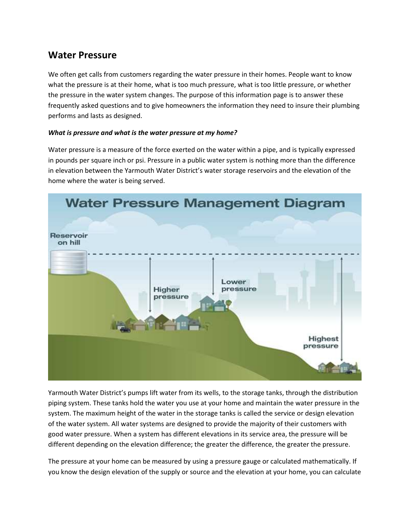# **Water Pressure**

We often get calls from customers regarding the water pressure in their homes. People want to know what the pressure is at their home, what is too much pressure, what is too little pressure, or whether the pressure in the water system changes. The purpose of this information page is to answer these frequently asked questions and to give homeowners the information they need to insure their plumbing performs and lasts as designed.

## *What is pressure and what is the water pressure at my home?*

Water pressure is a measure of the force exerted on the water within a pipe, and is typically expressed in pounds per square inch or psi. Pressure in a public water system is nothing more than the difference in elevation between the Yarmouth Water District's water storage reservoirs and the elevation of the home where the water is being served.



Yarmouth Water District's pumps lift water from its wells, to the storage tanks, through the distribution piping system. These tanks hold the water you use at your home and maintain the water pressure in the system. The maximum height of the water in the storage tanks is called the service or design elevation of the water system. All water systems are designed to provide the majority of their customers with good water pressure. When a system has different elevations in its service area, the pressure will be different depending on the elevation difference; the greater the difference, the greater the pressure.

The pressure at your home can be measured by using a pressure gauge or calculated mathematically. If you know the design elevation of the supply or source and the elevation at your home, you can calculate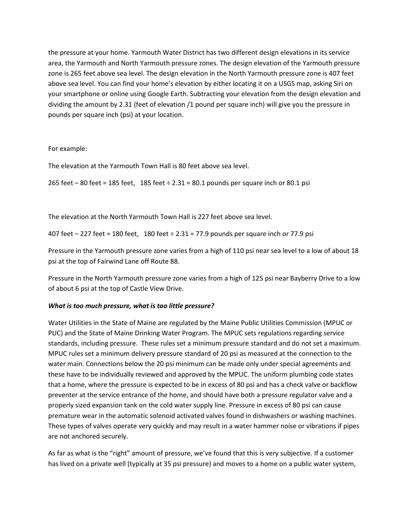the pressure at your home. Yarmouth Water District has two different design elevations in its service area, the Yarmouth and North Yarmouth pressure zones. The design elevation of the Yarmouth pressure zone is 265 feet above sea level. The design elevation in the North Yarmouth pressure zone is 407 feet above sea level. You can find your home's elevation by either locating it on a USGS map, asking Siri on your smartphone or online using Google Earth. Subtracting your elevation from the design elevation and dividing the amount by 2.31 (feet of elevation /1 pound per square inch) will give you the pressure in pounds per square inch (psi) at your location.

For example:

The elevation at the Yarmouth Town Hall is 80 feet above sea level.

265 feet – 80 feet = 185 feet, 185 feet ÷ 2.31 = 80.1 pounds per square inch or 80.1 psi

The elevation at the North Yarmouth Town Hall is 227 feet above sea level.

407 feet  $-$  227 feet = 180 feet, 180 feet  $\div$  2.31 = 77.9 pounds per square inch or 77.9 psi

Pressure in the Yarmouth pressure zone varies from a high of 110 psi near sea level to a low of about 18 psi at the top of Fairwind Lane off Route 88.

Pressure in the North Yarmouth pressure zone varies from a high of 125 psi near Bayberry Drive to a low of about 6 psi at the top of Castle View Drive.

## *What is too much pressure, what is too little pressure?*

Water Utilities in the State of Maine are regulated by the Maine Public Utilities Commission (MPUC or PUC) and the State of Maine Drinking Water Program. The MPUC sets regulations regarding service standards, including pressure. These rules set a minimum pressure standard and do not set a maximum. MPUC rules set a minimum delivery pressure standard of 20 psi as measured at the connection to the water main. Connections below the 20 psi minimum can be made only under special agreements and these have to be individually reviewed and approved by the MPUC. The uniform plumbing code states that a home, where the pressure is expected to be in excess of 80 psi and has a check valve or backflow preventer at the service entrance of the home, and should have both a pressure regulator valve and a properly sized expansion tank on the cold water supply line. Pressure in excess of 80 psi can cause premature wear in the automatic solenoid activated valves found in dishwashers or washing machines. These types of valves operate very quickly and may result in a water hammer noise or vibrations if pipes are not anchored securely.

As far as what is the "right" amount of pressure, we've found that this is very subjective. If a customer has lived on a private well (typically at 35 psi pressure) and moves to a home on a public water system,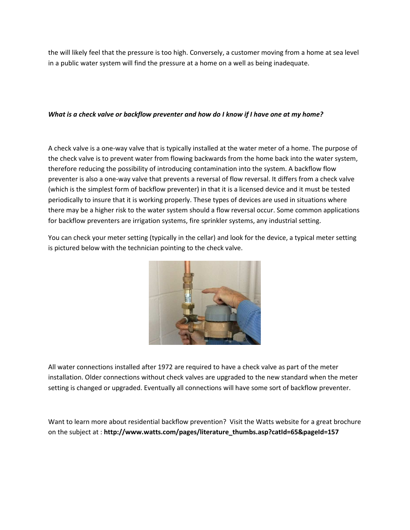the will likely feel that the pressure is too high. Conversely, a customer moving from a home at sea level in a public water system will find the pressure at a home on a well as being inadequate.

### *What is a check valve or backflow preventer and how do I know if I have one at my home?*

A check valve is a one-way valve that is typically installed at the water meter of a home. The purpose of the check valve is to prevent water from flowing backwards from the home back into the water system, therefore reducing the possibility of introducing contamination into the system. A backflow flow preventer is also a one-way valve that prevents a reversal of flow reversal. It differs from a check valve (which is the simplest form of backflow preventer) in that it is a licensed device and it must be tested periodically to insure that it is working properly. These types of devices are used in situations where there may be a higher risk to the water system should a flow reversal occur. Some common applications for backflow preventers are irrigation systems, fire sprinkler systems, any industrial setting.

You can check your meter setting (typically in the cellar) and look for the device, a typical meter setting is pictured below with the technician pointing to the check valve.



All water connections installed after 1972 are required to have a check valve as part of the meter installation. Older connections without check valves are upgraded to the new standard when the meter setting is changed or upgraded. Eventually all connections will have some sort of backflow preventer.

Want to learn more about residential backflow prevention? Visit the Watts website for a great brochure on the subject at : **http://www.watts.com/pages/literature\_thumbs.asp?catId=65&pageId=157**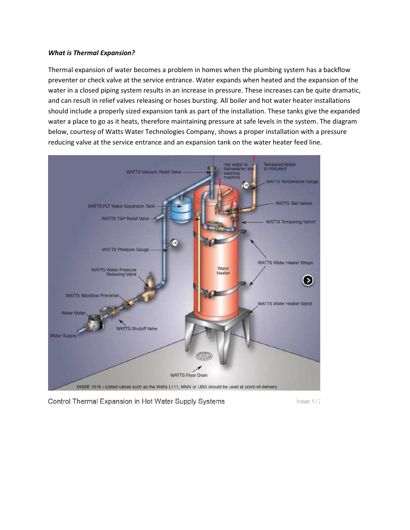#### *What is Thermal Expansion?*

Thermal expansion of water becomes a problem in homes when the plumbing system has a backflow preventer or check valve at the service entrance. Water expands when heated and the expansion of the water in a closed piping system results in an increase in pressure. These increases can be quite dramatic, and can result in relief valves releasing or hoses bursting. All boiler and hot water heater installations should include a properly sized expansion tank as part of the installation. These tanks give the expanded water a place to go as it heats, therefore maintaining pressure at safe levels in the system. The diagram below, courtesy of Watts Water Technologies Company, shows a proper installation with a pressure reducing valve at the service entrance and an expansion tank on the water heater feed line.



Control Thermal Expansion in Hot Water Supply Systems

Image 1/2